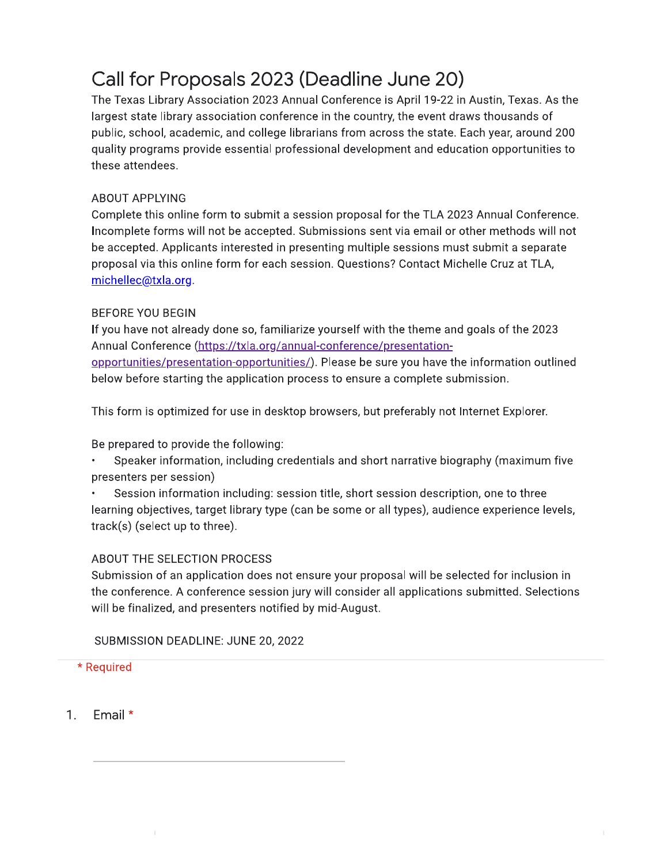# Call for Proposals 2023 (Deadline June 20)

The Texas Library Association 2023 Annual Conference is April 19-22 in Austin, Texas. As the largest state library association conference in the country, the event draws thousands of public, school, academic, and college librarians from across the state. Each year, around 200 quality programs provide essential professional development and education opportunities to these attendees.

#### **ABOUT APPLYING**

Complete this online form to submit a session proposal for the TLA 2023 Annual Conference. Incomplete forms will not be accepted. Submissions sent via email or other methods will not be accepted. Applicants interested in presenting multiple sessions must submit a separate proposal via this online form for each session. Questions? Contact Michelle Cruz at TLA, michellec@txla.org.

#### **BEFORE YOU BEGIN**

If you have not already done so, familiarize yourself with the theme and goals of the 2023 Annual Conference (https://txla.org/annual-conference/presentationopportunities/presentation-opportunities/). Please be sure you have the information outlined below before starting the application process to ensure a complete submission.

This form is optimized for use in desktop browsers, but preferably not Internet Explorer.

Be prepared to provide the following:

- Speaker information, including credentials and short narrative biography (maximum five presenters per session)
- Session information including: session title, short session description, one to three learning objectives, target library type (can be some or all types), audience experience levels, track(s) (select up to three).

#### ABOUT THE SELECTION PROCESS

Submission of an application does not ensure your proposal will be selected for inclusion in the conference. A conference session jury will consider all applications submitted. Selections will be finalized, and presenters notified by mid-August.

SUBMISSION DEADLINE: JUNE 20, 2022

#### \* Required

 $1<sub>1</sub>$ Email \*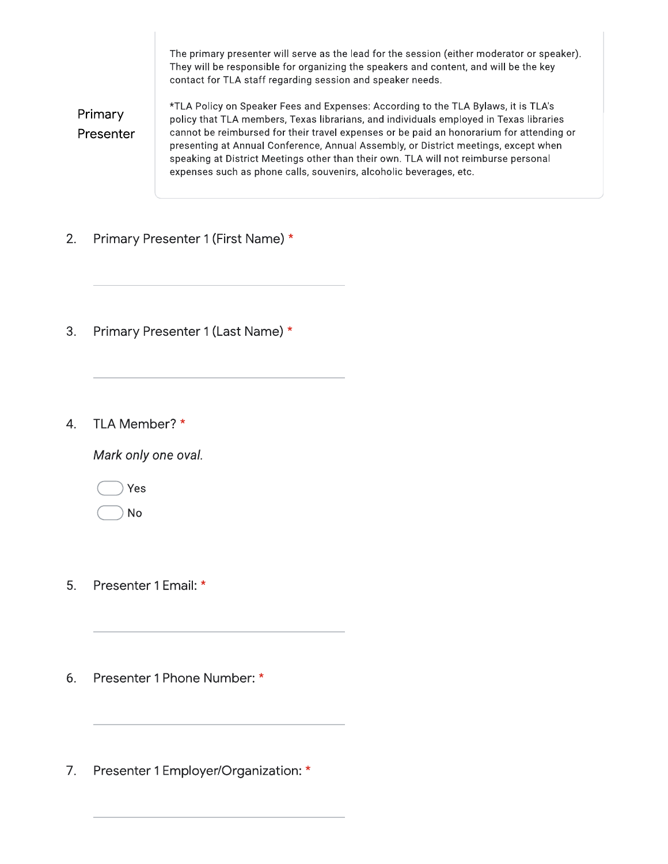The primary presenter will serve as the lead for the session (either moderator or speaker). They will be responsible for organizing the speakers and content, and will be the key contact for TLA staff regarding session and speaker needs.

Primary Presenter \*TLA Policy on Speaker Fees and Expenses: According to the TLA Bylaws, it is TLA's policy that TLA members, Texas librarians, and individuals employed in Texas libraries cannot be reimbursed for their travel expenses or be paid an honorarium for attending or presenting at Annual Conference, Annual Assembly, or District meetings, except when speaking at District Meetings other than their own. TLA will not reimburse personal expenses such as phone calls, souvenirs, alcoholic beverages, etc.

- $2.$ Primary Presenter 1 (First Name) \*
- $3.$ Primary Presenter 1 (Last Name) \*
- TLA Member? \* 4.

Mark only one oval.

Yes

**No** 

- 5. Presenter 1 Email: \*
- 6. Presenter 1 Phone Number: \*
- Presenter 1 Employer/Organization: \*  $7.$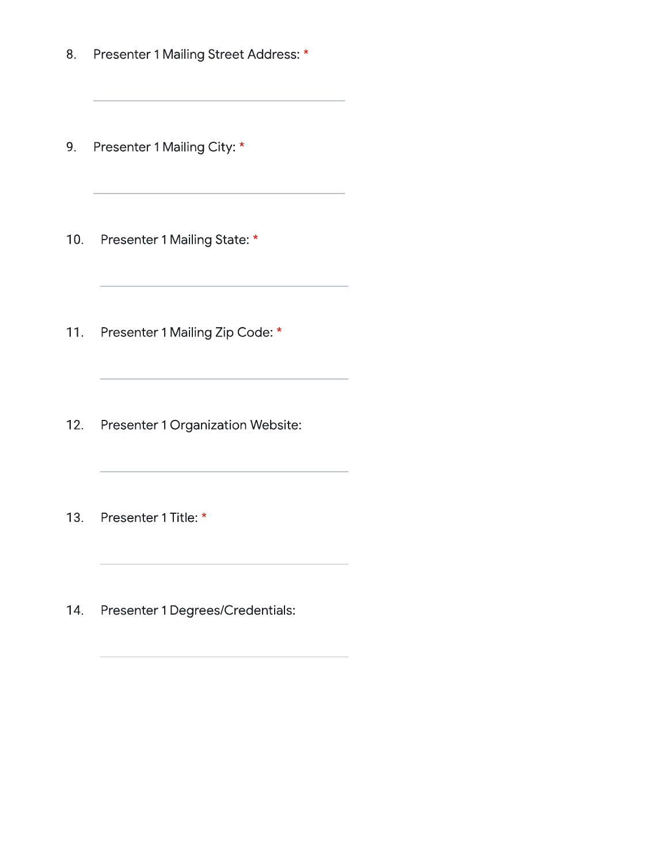Presenter 1 Mailing Street Address: \* 8.

the control of the control of the control of the control of the control of

- 9. Presenter 1 Mailing City: \*
- $10.$ Presenter 1 Mailing State: \*
- $11.$ Presenter 1 Mailing Zip Code: \*
- $12.$ Presenter 1 Organization Website:
- $13.$ Presenter 1 Title: \*
- 14. Presenter 1 Degrees/Credentials: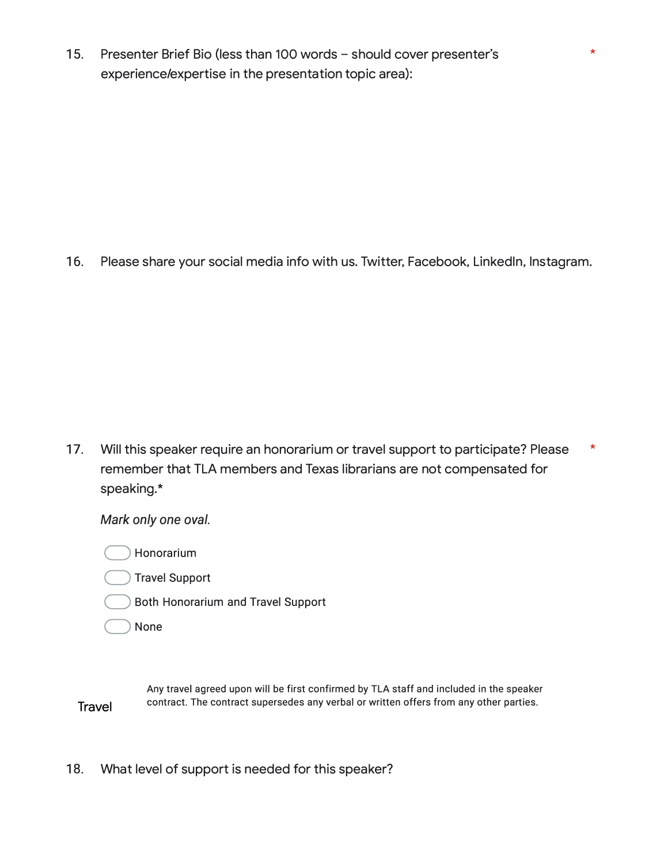15. Presenter Brief Bio (less than 100 words - should cover presenter's experience/expertise in the presentation topic area):

16. Please share your social media info with us. Twitter, Facebook, Linkedln, lnstagram.

\*

17. Will this speaker require an honorarium or travel support to participate? Please remember that TLA members and Texas librarians are not compensated for speaking.\* \*

*Mark only one oval.*

**Honorarium** 

- **Travel Support**
- � Both Honorarium and Travel Support
- **None**

**Travel** Any travel agreed upon will be first confirmed by TLA staff and included in the speaker contract. The contract supersedes any verbal or written offers from any other parties.

18. What level of support is needed for this speaker?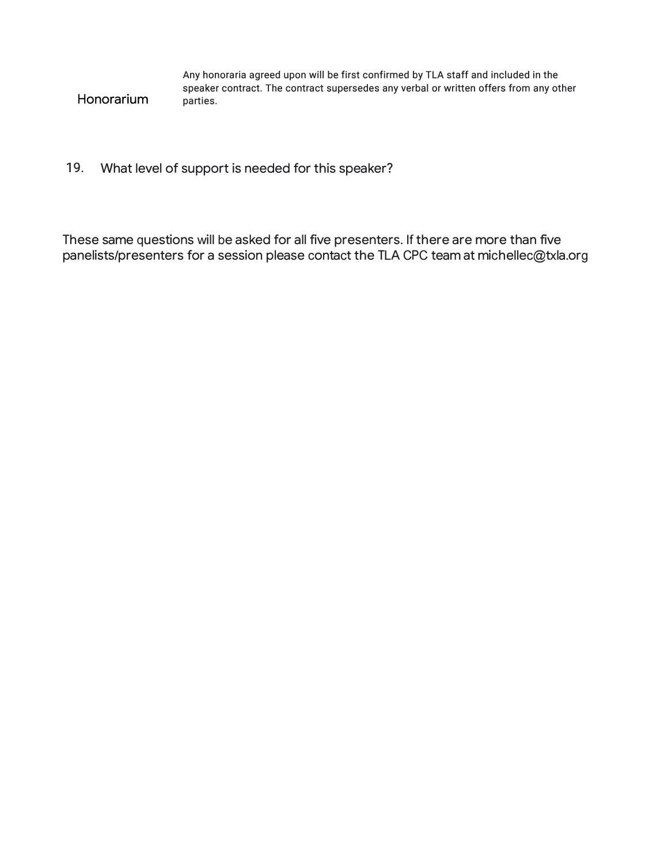| Any honoraria agreed upon will be first confirmed by TLA staff and included in the    |
|---------------------------------------------------------------------------------------|
| speaker contract. The contract supersedes any verbal or written offers from any other |
| parties.                                                                              |

# 19. What level of support is needed for this speaker?

Honorarium

These same questions will be asked for all five presenters. If there are more than five panelists/presenters for a session please contact the TLA CPC team at michellec@txla.org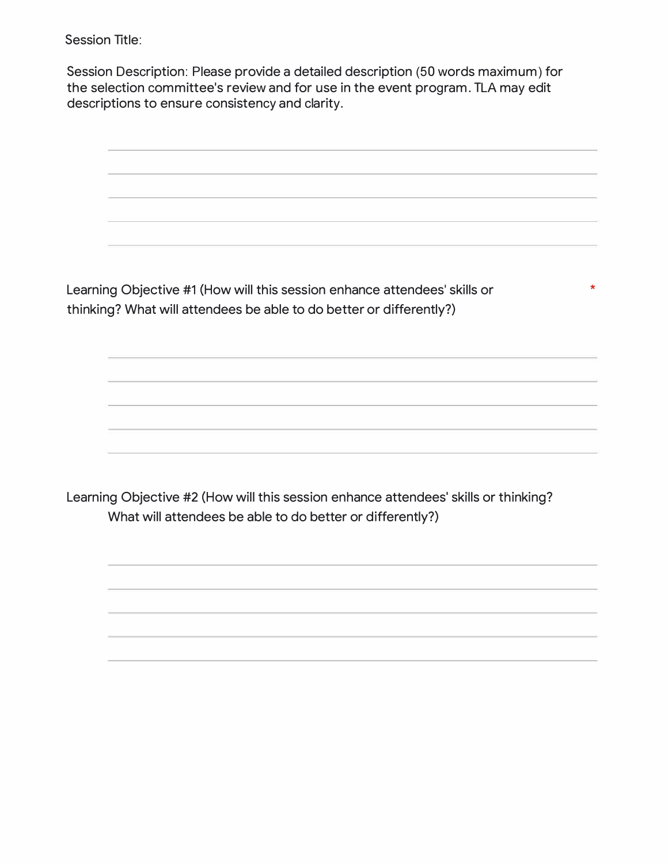Session Title:

Session Description: Please provide a detailed description (50 words maximum) for the selection committee's review and for use in the event program. TLA may edit descriptions to ensure consistency and clarity.

Learning Objective #1 (How will this session enhance attendees' skills or thinking? What will attendees be able to do better or differently?)

\*

Learning Objective #2 (How will this session enhance attendees' skills or thinking? What will attendees be able to do better or differently?)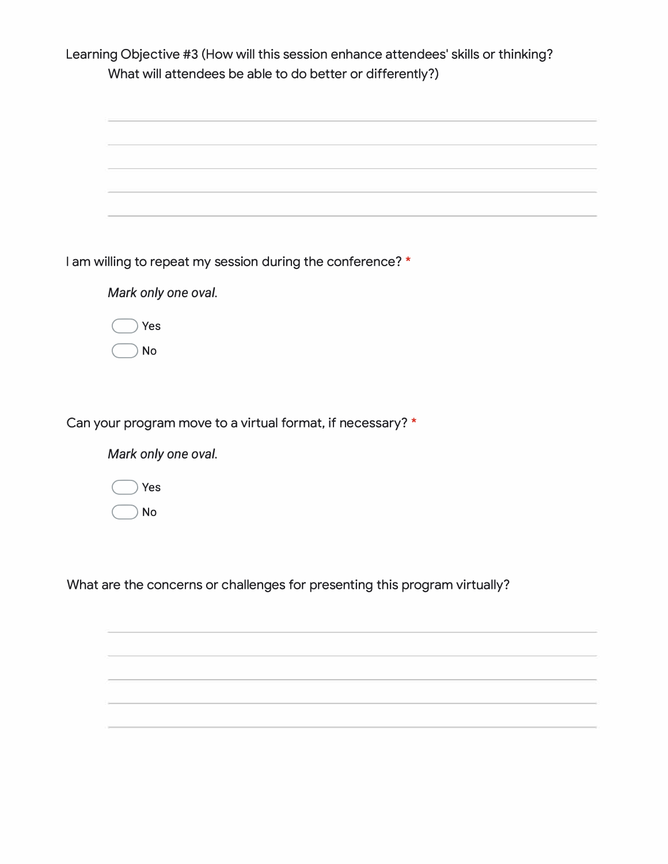Learning Objective #3 (How will this session enhance attendees' skills or thinking? What will attendees be able to do better or differently?)

| am willing to repeat my session during the conference? *   |
|------------------------------------------------------------|
| Mark only one oval.                                        |
| Yes                                                        |
| <b>No</b>                                                  |
|                                                            |
|                                                            |
| Can your program move to a virtual format, if necessary? * |
| Mark only one oval.                                        |
| Yes                                                        |
| No                                                         |
|                                                            |
|                                                            |

What are the concerns or challenges for presenting this program virtually?

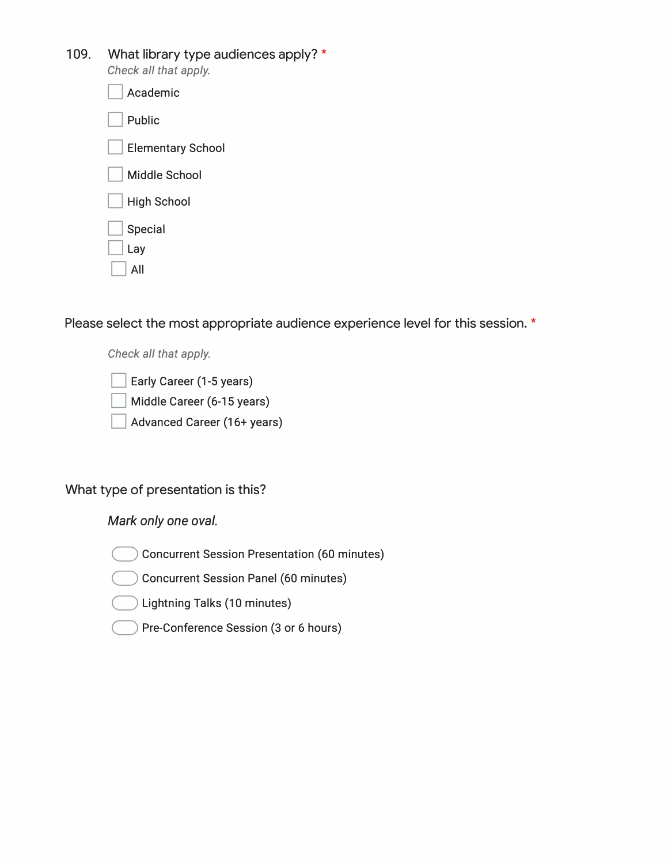# 109. What library type audiences apply? \*

*Check all that apply.*

| Academic                 |  |
|--------------------------|--|
| Public                   |  |
| <b>Elementary School</b> |  |
| <b>Middle School</b>     |  |
| <b>High School</b>       |  |
| Special<br>Lay<br>ΑIΙ    |  |

Please select the most appropriate audience experience level for this session. \*

*Check all that apply.*

Early Career (1-5 years)

Middle Career (6-15 years)

Advanced Career (16+ years)

# What type of presentation is this?

*Mark only one oval.*

� Concurrent Session Presentation {60 minutes)

Concurrent Session Panel (60 minutes)

 $\big)$  Lightning Talks (10 minutes)

� Pre-Conference Session {3 or 6 hours)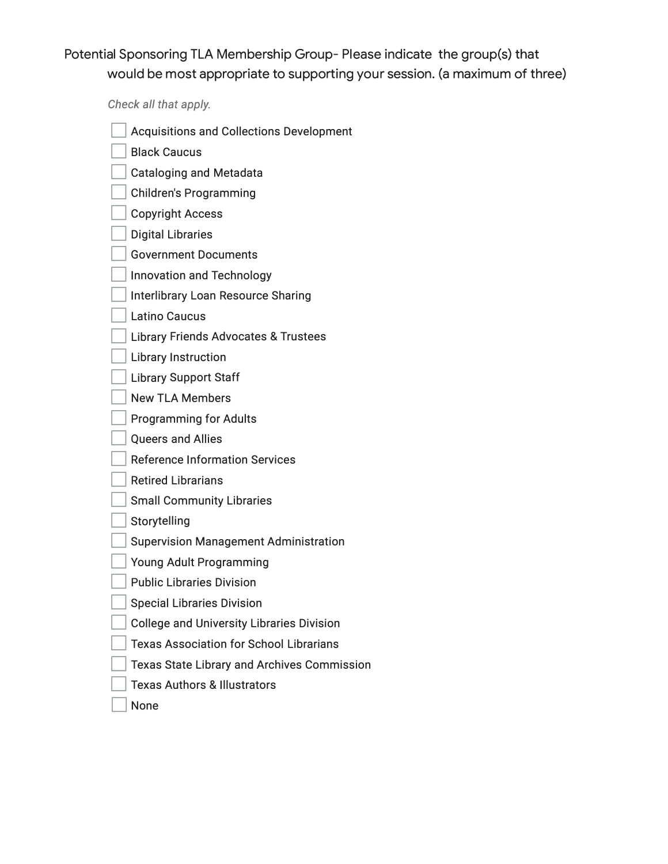Potential Sponsoring TLA Membership Group- Please indicate the group(s) that would be most appropriate to supporting your session. (a maximum of three)

*Check all that apply.* 

- Acquisitions and Collections Development
- **Black Caucus**
- Cataloging and Metadata
- Children's Programming
- O Copyright Access
- Digital Libraries
- **Government Documents**
- Innovation and Technology
- Interlibrary Loan Resource Sharing
- Latino Caucus
- Library Friends Advocates & Trustees
- **Library Instruction**
- **Library Support Staff**
- **New TLA Members**
- Programming for Adults
- Queers and Allies
- Reference Information Services
- **Retired Librarians**
- **Small Community Libraries**
- $\Box$  Storytelling
- **Supervision Management Administration**
- Young Adult Programming
- **Public Libraries Division**
- **Special Libraries Division**
- College and University Libraries Division
- Texas Association for School Librarians
- Texas State Library and Archives Commission
- Texas Authors & Illustrators
- None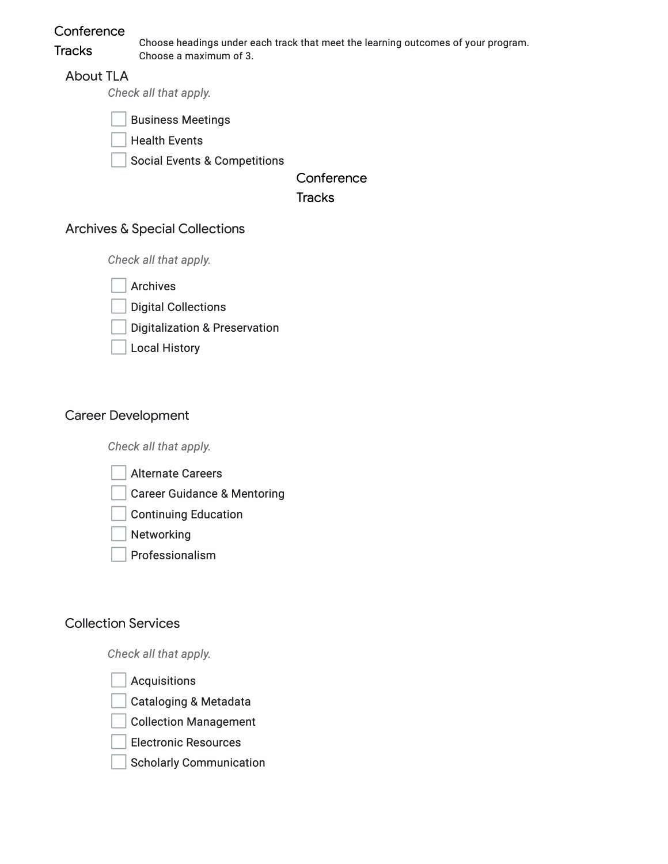**Conference** 

**Tracks** 

Choose headings under each track that meet the learning outcomes of your program. Choose a maximum of 3.

### About TLA

*Check all that apply.* 

**Business Meetings** 

**Health Events** 

Social Events & Competitions

**Conference** 

**Tracks** 

## Archives & Special Collections

*Check all that apply.*

**Archives** 

Digital Collections

Digitalization & Preservation

Local History

# Career Development

*Check all that apply.*

- **Alternate Careers**
- **Career Guidance & Mentoring**
- **Continuing Education**
- **Networking**
- **Professionalism**

# Collection Services

*Check all that apply.*

**Acquisitions** 

Cataloging & Metadata

**Collection Management** 

**Electronic Resources** 

**Scholarly Communication**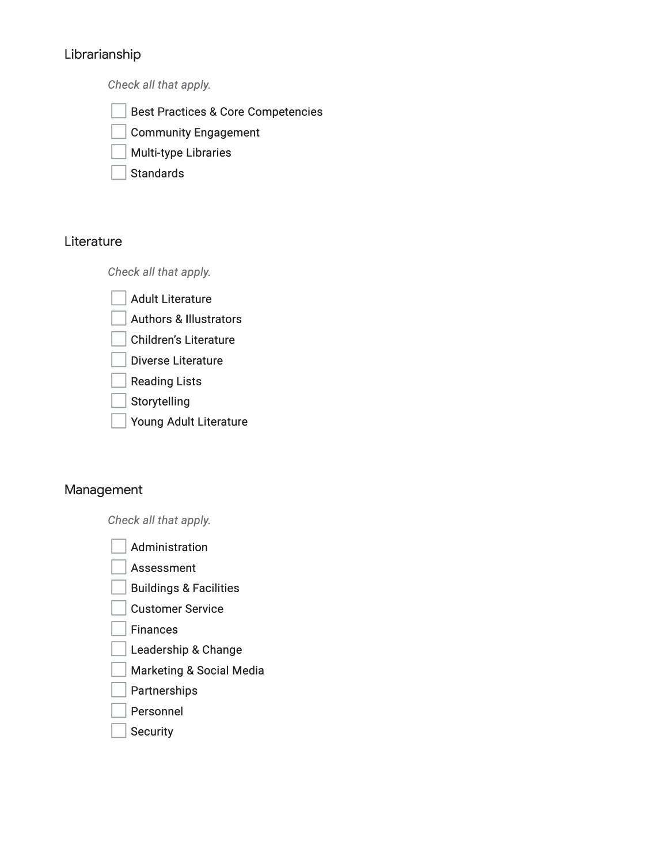# Librarianship

*Check all that apply.*

- Best Practices & Core Competencies
- **Community Engagement**
- **Multi-type Libraries**
- **Standards**

# **Literature**

*Check all that apply.*

- **Adult Literature**
- Authors & Illustrators
- Children's Literature
- Diverse Literature
- **Reading Lists**
- Storytelling
- Young Adult Literature

# Management

*Check all that apply.*

- Administration
- Assessment
- **Buildings & Facilities**
- **Customer Service**
- **Finances**
- Leadership & Change
- **Marketing & Social Media**
- **Partnerships**
- **Personnel**
- **Security**